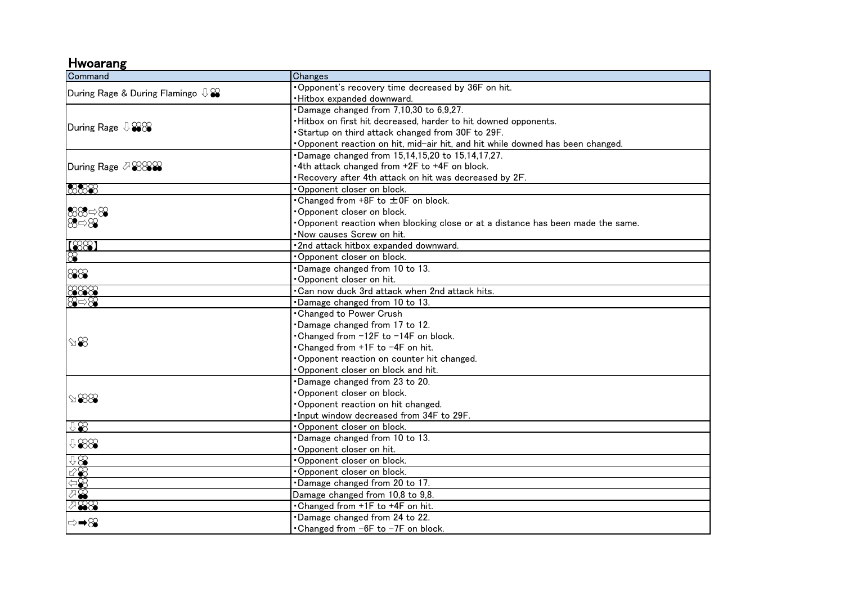## Hwoarang

| Command                                    | Changes                                                                        |
|--------------------------------------------|--------------------------------------------------------------------------------|
| During Rage & During Flamingo $\mathbb{Q}$ | Opponent's recovery time decreased by 36F on hit.                              |
|                                            | · Hitbox expanded downward.                                                    |
| During Rage $\sqrt[1]{288}$                | Damage changed from 7,10,30 to 6,9,27.                                         |
|                                            | . Hitbox on first hit decreased, harder to hit downed opponents.               |
|                                            | Startup on third attack changed from 30F to 29F.                               |
|                                            | Opponent reaction on hit, mid-air hit, and hit while downed has been changed.  |
| During Rage ⊘ 2822                         | Damage changed from 15,14,15,20 to 15,14,17,27.                                |
|                                            | .4th attack changed from +2F to +4F on block.                                  |
|                                            | Recovery after 4th attack on hit was decreased by 2F.                          |
| 8888                                       | Opponent closer on block.                                                      |
|                                            | • Changed from +8F to ±0F on block.                                            |
| 88 ⇒8                                      | Opponent closer on block.                                                      |
| $\otimes \Rightarrow \otimes$              | Opponent reaction when blocking close or at a distance has been made the same. |
|                                            | . Now causes Screw on hit.                                                     |
| [88]                                       | ·2nd attack hitbox expanded downward.                                          |
| $\otimes$                                  | Opponent closer on block.                                                      |
| 888                                        | Damage changed from 10 to 13.                                                  |
|                                            | Opponent closer on hit.                                                        |
| 8888                                       | . Can now duck 3rd attack when 2nd attack hits.                                |
| $\otimes \Rightarrow \otimes$              | Damage changed from 10 to 13.                                                  |
| $\mathscr{B}$<br>$\text{188}$              | <b>Changed to Power Crush</b>                                                  |
|                                            | Damage changed from 17 to 12.                                                  |
|                                            | Changed from -12F to -14F on block.                                            |
|                                            | •Changed from +1F to −4F on hit.                                               |
|                                            | Opponent reaction on counter hit changed.                                      |
|                                            | Opponent closer on block and hit.                                              |
|                                            | Damage changed from 23 to 20.                                                  |
|                                            | Opponent closer on block.                                                      |
|                                            | Opponent reaction on hit changed.                                              |
|                                            | Input window decreased from 34F to 29F.                                        |
| 48                                         | Opponent closer on block.                                                      |
| 1888                                       | Damage changed from 10 to 13.                                                  |
|                                            | Opponent closer on hit.                                                        |
| 98                                         | Opponent closer on block.                                                      |
| 78                                         | . Opponent closer on block.                                                    |
| $\Leftrightarrow$                          | .Damage changed from 20 to 17.                                                 |
| ⊘⊗                                         | Damage changed from 10,8 to 9,8.                                               |
| $\oslash$ 88                               | . Changed from +1F to +4F on hit.                                              |
| ⇒➡⊗                                        | Damage changed from 24 to 22.                                                  |
|                                            | $\cdot$ Changed from $-6F$ to $-7F$ on block.                                  |